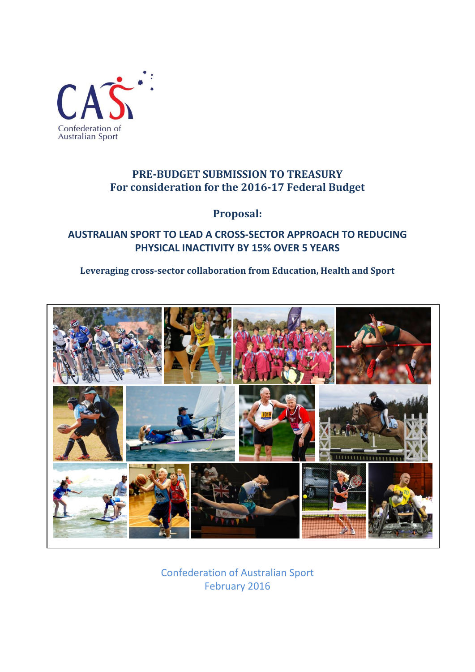

## **PRE-BUDGET SUBMISSION TO TREASURY For consideration for the 2016-17 Federal Budget**

**Proposal:**

## **AUSTRALIAN SPORT TO LEAD A CROSS-SECTOR APPROACH TO REDUCING PHYSICAL INACTIVITY BY 15% OVER 5 YEARS**

## **Leveraging cross-sector collaboration from Education, Health and Sport**



Confederation of Australian Sport February 2016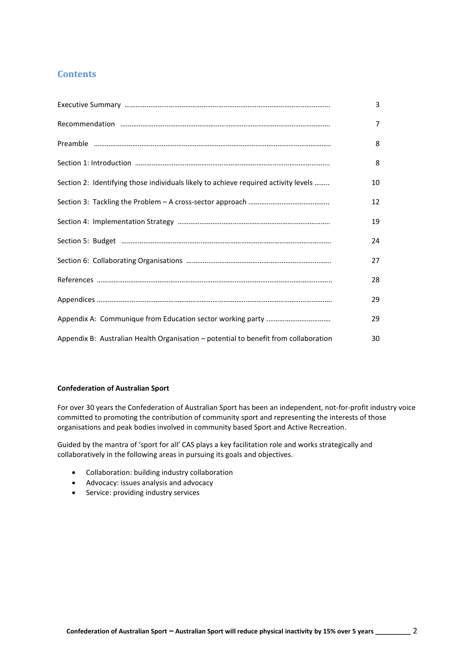## **Contents**

|                                                                                      | 3  |
|--------------------------------------------------------------------------------------|----|
|                                                                                      | 7  |
|                                                                                      | 8  |
|                                                                                      | 8  |
| Section 2: Identifying those individuals likely to achieve required activity levels  | 10 |
|                                                                                      | 12 |
|                                                                                      | 19 |
|                                                                                      | 24 |
|                                                                                      | 27 |
|                                                                                      | 28 |
|                                                                                      | 29 |
|                                                                                      | 29 |
| Appendix B: Australian Health Organisation - potential to benefit from collaboration | 30 |

#### **Confederation of Australian Sport**

For over 30 years the Confederation of Australian Sport has been an independent, not-for-profit industry voice committed to promoting the contribution of community sport and representing the interests of those organisations and peak bodies involved in community based Sport and Active Recreation.

Guided by the mantra of 'sport for all' CAS plays a key facilitation role and works strategically and collaboratively in the following areas in pursuing its goals and objectives.

- Collaboration: building industry collaboration
- Advocacy: issues analysis and advocacy
- Service: providing industry services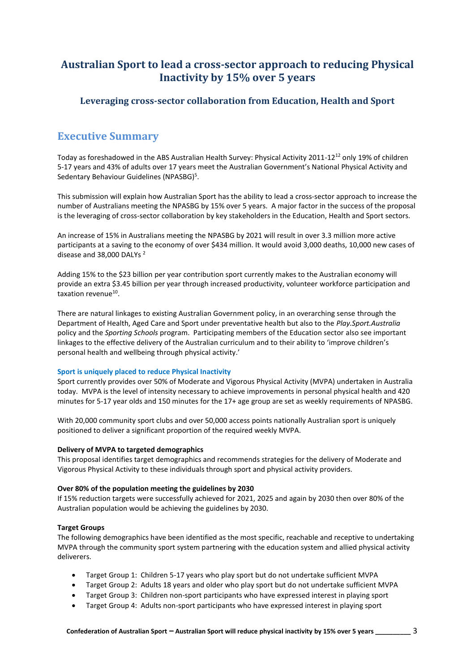## **Australian Sport to lead a cross-sector approach to reducing Physical Inactivity by 15% over 5 years**

## **Leveraging cross-sector collaboration from Education, Health and Sport**

## **Executive Summary**

Today as foreshadowed in the ABS Australian Health Survey: Physical Activity 2011-12<sup>12</sup> only 19% of children 5-17 years and 43% of adults over 17 years meet the Australian Government's National Physical Activity and Sedentary Behaviour Guidelines (NPASBG)<sup>5</sup>.

This submission will explain how Australian Sport has the ability to lead a cross-sector approach to increase the number of Australians meeting the NPASBG by 15% over 5 years. A major factor in the success of the proposal is the leveraging of cross-sector collaboration by key stakeholders in the Education, Health and Sport sectors.

An increase of 15% in Australians meeting the NPASBG by 2021 will result in over 3.3 million more active participants at a saving to the economy of over \$434 million. It would avoid 3,000 deaths, 10,000 new cases of disease and 38,000 DALYs<sup>2</sup>

Adding 15% to the \$23 billion per year contribution sport currently makes to the Australian economy will provide an extra \$3.45 billion per year through increased productivity, volunteer workforce participation and taxation revenue<sup>10</sup>.

There are natural linkages to existing Australian Government policy, in an overarching sense through the Department of Health, Aged Care and Sport under preventative health but also to the *Play.Sport.Australia* policy and the *Sporting Schools* program. Participating members of the Education sector also see important linkages to the effective delivery of the Australian curriculum and to their ability to 'improve children's personal health and wellbeing through physical activity.'

### **Sport is uniquely placed to reduce Physical Inactivity**

Sport currently provides over 50% of Moderate and Vigorous Physical Activity (MVPA) undertaken in Australia today. MVPA is the level of intensity necessary to achieve improvements in personal physical health and 420 minutes for 5-17 year olds and 150 minutes for the 17+ age group are set as weekly requirements of NPASBG.

With 20,000 community sport clubs and over 50,000 access points nationally Australian sport is uniquely positioned to deliver a significant proportion of the required weekly MVPA.

#### **Delivery of MVPA to targeted demographics**

This proposal identifies target demographics and recommends strategies for the delivery of Moderate and Vigorous Physical Activity to these individuals through sport and physical activity providers.

### **Over 80% of the population meeting the guidelines by 2030**

If 15% reduction targets were successfully achieved for 2021, 2025 and again by 2030 then over 80% of the Australian population would be achieving the guidelines by 2030.

### **Target Groups**

The following demographics have been identified as the most specific, reachable and receptive to undertaking MVPA through the community sport system partnering with the education system and allied physical activity deliverers.

- Target Group 1: Children 5-17 years who play sport but do not undertake sufficient MVPA
- Target Group 2: Adults 18 years and older who play sport but do not undertake sufficient MVPA
- Target Group 3: Children non-sport participants who have expressed interest in playing sport
- Target Group 4: Adults non-sport participants who have expressed interest in playing sport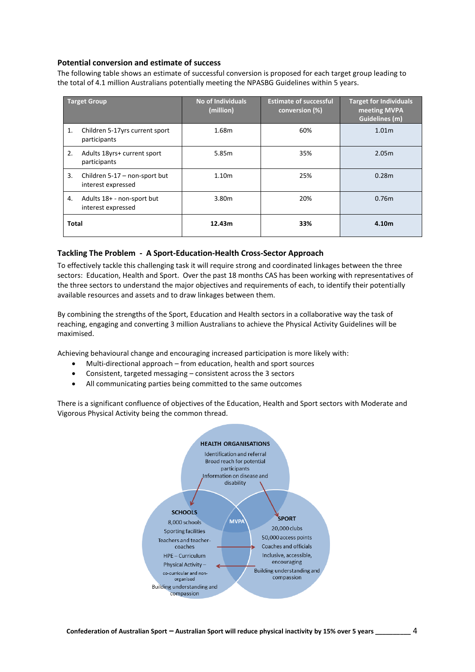#### **Potential conversion and estimate of success**

The following table shows an estimate of successful conversion is proposed for each target group leading to the total of 4.1 million Australians potentially meeting the NPASBG Guidelines within 5 years.

|              | <b>Target Group</b>                                 | <b>No of Individuals</b><br>(million) | <b>Estimate of successful</b><br>conversion (%) | <b>Target for Individuals</b><br>meeting MVPA<br><b>Guidelines (m)</b> |
|--------------|-----------------------------------------------------|---------------------------------------|-------------------------------------------------|------------------------------------------------------------------------|
| 1.           | Children 5-17yrs current sport<br>participants      | 1.68m                                 | 60%                                             | 1.01 <sub>m</sub>                                                      |
| 2.           | Adults 18yrs+ current sport<br>participants         | 5.85m                                 | 35%                                             | 2.05 <sub>m</sub>                                                      |
| 3.           | Children 5-17 – non-sport but<br>interest expressed | 1.10 <sub>m</sub>                     | 25%                                             | 0.28 <sub>m</sub>                                                      |
| 4.           | Adults 18+ - non-sport but<br>interest expressed    | 3.80m                                 | 20%                                             | 0.76 <sub>m</sub>                                                      |
| <b>Total</b> |                                                     | 12.43m                                | 33%                                             | 4.10 <sub>m</sub>                                                      |

#### **Tackling The Problem - A Sport-Education-Health Cross-Sector Approach**

To effectively tackle this challenging task it will require strong and coordinated linkages between the three sectors: Education, Health and Sport. Over the past 18 months CAS has been working with representatives of the three sectors to understand the major objectives and requirements of each, to identify their potentially available resources and assets and to draw linkages between them.

By combining the strengths of the Sport, Education and Health sectors in a collaborative way the task of reaching, engaging and converting 3 million Australians to achieve the Physical Activity Guidelines will be maximised.

Achieving behavioural change and encouraging increased participation is more likely with:

- Multi-directional approach from education, health and sport sources
- Consistent, targeted messaging consistent across the 3 sectors
- All communicating parties being committed to the same outcomes

There is a significant confluence of objectives of the Education, Health and Sport sectors with Moderate and Vigorous Physical Activity being the common thread.

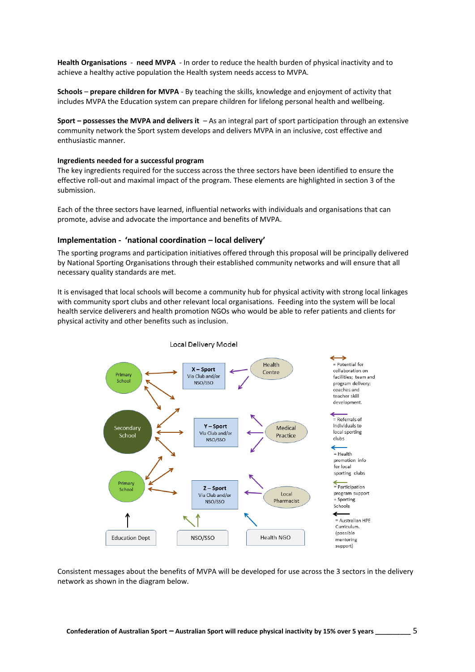**Health Organisations** - **need MVPA** - In order to reduce the health burden of physical inactivity and to achieve a healthy active population the Health system needs access to MVPA.

**Schools** – **prepare children for MVPA** - By teaching the skills, knowledge and enjoyment of activity that includes MVPA the Education system can prepare children for lifelong personal health and wellbeing.

**Sport – possesses the MVPA and delivers it** – As an integral part of sport participation through an extensive community network the Sport system develops and delivers MVPA in an inclusive, cost effective and enthusiastic manner.

#### **Ingredients needed for a successful program**

The key ingredients required for the success across the three sectors have been identified to ensure the effective roll-out and maximal impact of the program. These elements are highlighted in section 3 of the submission.

Each of the three sectors have learned, influential networks with individuals and organisations that can promote, advise and advocate the importance and benefits of MVPA.

#### **Implementation - 'national coordination – local delivery'**

The sporting programs and participation initiatives offered through this proposal will be principally delivered by National Sporting Organisations through their established community networks and will ensure that all necessary quality standards are met.

It is envisaged that local schools will become a community hub for physical activity with strong local linkages with community sport clubs and other relevant local organisations. Feeding into the system will be local health service deliverers and health promotion NGOs who would be able to refer patients and clients for physical activity and other benefits such as inclusion.



Consistent messages about the benefits of MVPA will be developed for use across the 3 sectors in the delivery network as shown in the diagram below.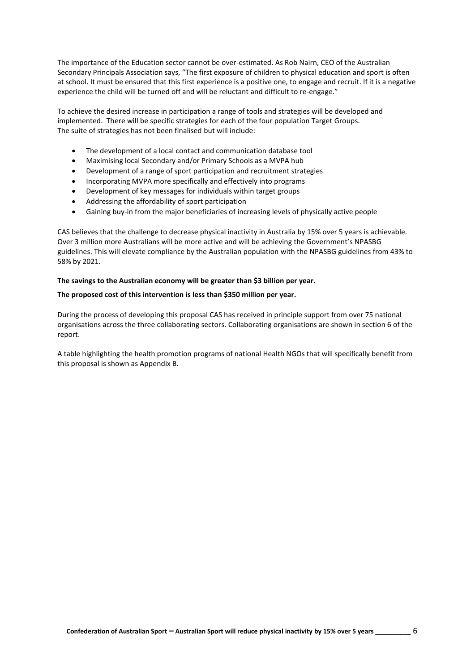The importance of the Education sector cannot be over-estimated. As Rob Nairn, CEO of the Australian Secondary Principals Association says, "The first exposure of children to physical education and sport is often at school. It must be ensured that this first experience is a positive one, to engage and recruit. If it is a negative experience the child will be turned off and will be reluctant and difficult to re-engage."

To achieve the desired increase in participation a range of tools and strategies will be developed and implemented. There will be specific strategies for each of the four population Target Groups. The suite of strategies has not been finalised but will include:

- The development of a local contact and communication database tool
- Maximising local Secondary and/or Primary Schools as a MVPA hub
- Development of a range of sport participation and recruitment strategies
- Incorporating MVPA more specifically and effectively into programs
- Development of key messages for individuals within target groups
- Addressing the affordability of sport participation
- Gaining buy-in from the major beneficiaries of increasing levels of physically active people

CAS believes that the challenge to decrease physical inactivity in Australia by 15% over 5 years is achievable. Over 3 million more Australians will be more active and will be achieving the Government's NPASBG guidelines. This will elevate compliance by the Australian population with the NPASBG guidelines from 43% to 58% by 2021.

#### **The savings to the Australian economy will be greater than \$3 billion per year.**

#### **The proposed cost of this intervention is less than \$350 million per year.**

During the process of developing this proposal CAS has received in principle support from over 75 national organisations across the three collaborating sectors. Collaborating organisations are shown in section 6 of the report.

A table highlighting the health promotion programs of national Health NGOs that will specifically benefit from this proposal is shown as Appendix B.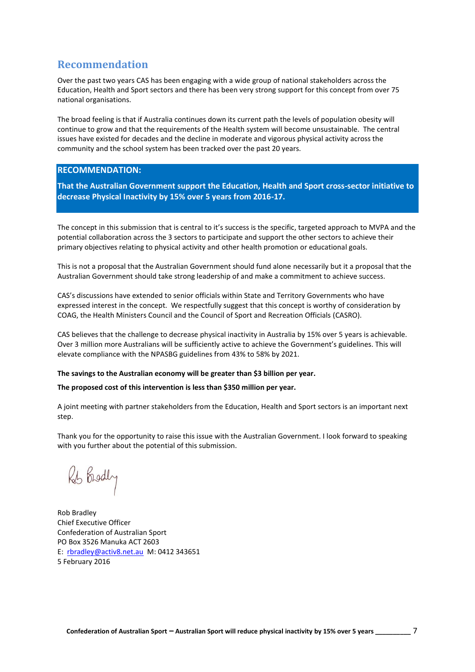## **Recommendation**

Over the past two years CAS has been engaging with a wide group of national stakeholders across the Education, Health and Sport sectors and there has been very strong support for this concept from over 75 national organisations.

The broad feeling is that if Australia continues down its current path the levels of population obesity will continue to grow and that the requirements of the Health system will become unsustainable. The central issues have existed for decades and the decline in moderate and vigorous physical activity across the community and the school system has been tracked over the past 20 years.

### **RECOMMENDATION:**

**That the Australian Government support the Education, Health and Sport cross-sector initiative to decrease Physical Inactivity by 15% over 5 years from 2016-17.**

The concept in this submission that is central to it's success is the specific, targeted approach to MVPA and the potential collaboration across the 3 sectors to participate and support the other sectors to achieve their primary objectives relating to physical activity and other health promotion or educational goals.

This is not a proposal that the Australian Government should fund alone necessarily but it a proposal that the Australian Government should take strong leadership of and make a commitment to achieve success.

CAS's discussions have extended to senior officials within State and Territory Governments who have expressed interest in the concept. We respectfully suggest that this concept is worthy of consideration by COAG, the Health Ministers Council and the Council of Sport and Recreation Officials (CASRO).

CAS believes that the challenge to decrease physical inactivity in Australia by 15% over 5 years is achievable. Over 3 million more Australians will be sufficiently active to achieve the Government's guidelines. This will elevate compliance with the NPASBG guidelines from 43% to 58% by 2021.

#### **The savings to the Australian economy will be greater than \$3 billion per year.**

#### **The proposed cost of this intervention is less than \$350 million per year.**

A joint meeting with partner stakeholders from the Education, Health and Sport sectors is an important next step.

Thank you for the opportunity to raise this issue with the Australian Government. I look forward to speaking with you further about the potential of this submission.

Rob Brodly

Rob Bradley Chief Executive Officer Confederation of Australian Sport PO Box 3526 Manuka ACT 2603 E: [rbradley@activ8.net.au](mailto:rbradley@activ8.net.au) M: 0412 343651 5 February 2016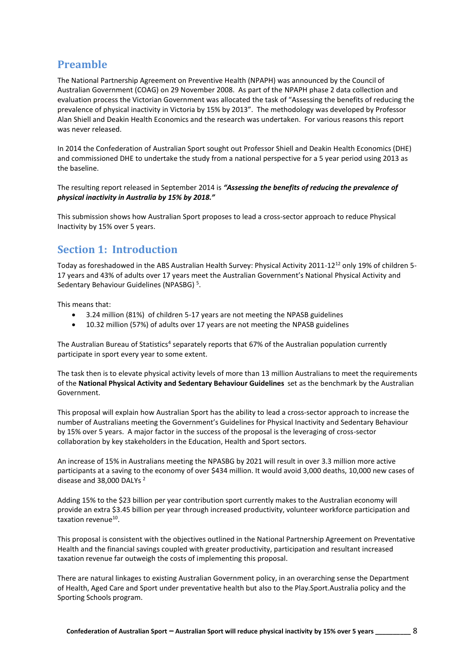## **Preamble**

The National Partnership Agreement on Preventive Health (NPAPH) was announced by the Council of Australian Government (COAG) on 29 November 2008. As part of the NPAPH phase 2 data collection and evaluation process the Victorian Government was allocated the task of "Assessing the benefits of reducing the prevalence of physical inactivity in Victoria by 15% by 2013". The methodology was developed by Professor Alan Shiell and Deakin Health Economics and the research was undertaken. For various reasons this report was never released.

In 2014 the Confederation of Australian Sport sought out Professor Shiell and Deakin Health Economics (DHE) and commissioned DHE to undertake the study from a national perspective for a 5 year period using 2013 as the baseline.

The resulting report released in September 2014 is *"Assessing the benefits of reducing the prevalence of physical inactivity in Australia by 15% by 2018."*

This submission shows how Australian Sport proposes to lead a cross-sector approach to reduce Physical Inactivity by 15% over 5 years.

## **Section 1: Introduction**

Today as foreshadowed in the ABS Australian Health Survey: Physical Activity 2011-12<sup>12</sup> only 19% of children 5- 17 years and 43% of adults over 17 years meet the Australian Government's National Physical Activity and Sedentary Behaviour Guidelines (NPASBG)<sup>5</sup>.

This means that:

- 3.24 million (81%) of children 5-17 years are not meeting the NPASB guidelines
- 10.32 million (57%) of adults over 17 years are not meeting the NPASB guidelines

The Australian Bureau of Statistics<sup>4</sup> separately reports that 67% of the Australian population currently participate in sport every year to some extent.

The task then is to elevate physical activity levels of more than 13 million Australians to meet the requirements of the **National Physical Activity and Sedentary Behaviour Guidelines** set as the benchmark by the Australian Government.

This proposal will explain how Australian Sport has the ability to lead a cross-sector approach to increase the number of Australians meeting the Government's Guidelines for Physical Inactivity and Sedentary Behaviour by 15% over 5 years. A major factor in the success of the proposal is the leveraging of cross-sector collaboration by key stakeholders in the Education, Health and Sport sectors.

An increase of 15% in Australians meeting the NPASBG by 2021 will result in over 3.3 million more active participants at a saving to the economy of over \$434 million. It would avoid 3,000 deaths, 10,000 new cases of disease and 38,000 DALYs<sup>2</sup>

Adding 15% to the \$23 billion per year contribution sport currently makes to the Australian economy will provide an extra \$3.45 billion per year through increased productivity, volunteer workforce participation and taxation revenue<sup>10</sup>.

This proposal is consistent with the objectives outlined in the National Partnership Agreement on Preventative Health and the financial savings coupled with greater productivity, participation and resultant increased taxation revenue far outweigh the costs of implementing this proposal.

There are natural linkages to existing Australian Government policy, in an overarching sense the Department of Health, Aged Care and Sport under preventative health but also to the Play.Sport.Australia policy and the Sporting Schools program.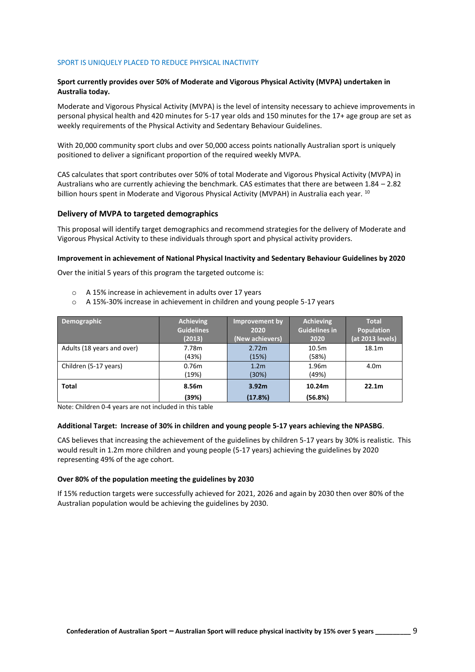#### SPORT IS UNIQUELY PLACED TO REDUCE PHYSICAL INACTIVITY

#### **Sport currently provides over 50% of Moderate and Vigorous Physical Activity (MVPA) undertaken in Australia today.**

Moderate and Vigorous Physical Activity (MVPA) is the level of intensity necessary to achieve improvements in personal physical health and 420 minutes for 5-17 year olds and 150 minutes for the 17+ age group are set as weekly requirements of the Physical Activity and Sedentary Behaviour Guidelines.

With 20,000 community sport clubs and over 50,000 access points nationally Australian sport is uniquely positioned to deliver a significant proportion of the required weekly MVPA.

CAS calculates that sport contributes over 50% of total Moderate and Vigorous Physical Activity (MVPA) in Australians who are currently achieving the benchmark. CAS estimates that there are between 1.84 – 2.82 billion hours spent in Moderate and Vigorous Physical Activity (MVPAH) in Australia each year. <sup>10</sup>

#### **Delivery of MVPA to targeted demographics**

This proposal will identify target demographics and recommend strategies for the delivery of Moderate and Vigorous Physical Activity to these individuals through sport and physical activity providers.

#### **Improvement in achievement of National Physical Inactivity and Sedentary Behaviour Guidelines by 2020**

Over the initial 5 years of this program the targeted outcome is:

- o A 15% increase in achievement in adults over 17 years
- $\circ$  A 15%-30% increase in achievement in children and young people 5-17 years

| Demographic                | <b>Achieving</b><br><b>Guidelines</b><br>(2013) | Improvement by<br>2020<br>(New achievers) | <b>Achieving</b><br><b>Guidelines in</b><br>2020 | <b>Total</b><br><b>Population</b><br>(at 2013 levels) |
|----------------------------|-------------------------------------------------|-------------------------------------------|--------------------------------------------------|-------------------------------------------------------|
| Adults (18 years and over) | 7.78m<br>(43%)                                  | 2.72m<br>(15%)                            | 10.5 <sub>m</sub><br>(58%)                       | 18.1m                                                 |
| Children (5-17 years)      | 0.76m<br>(19%)                                  | 1.2 <sub>m</sub><br>(30%)                 | 1.96m<br>(49%)                                   | 4.0 <sub>m</sub>                                      |
| Total                      | 8.56m<br>(39%)                                  | 3.92 <sub>m</sub><br>(17.8%)              | 10.24m<br>(56.8%)                                | 22.1 <sub>m</sub>                                     |

Note: Children 0-4 years are not included in this table

#### **Additional Target: Increase of 30% in children and young people 5-17 years achieving the NPASBG**.

CAS believes that increasing the achievement of the guidelines by children 5-17 years by 30% is realistic. This would result in 1.2m more children and young people (5-17 years) achieving the guidelines by 2020 representing 49% of the age cohort.

#### **Over 80% of the population meeting the guidelines by 2030**

If 15% reduction targets were successfully achieved for 2021, 2026 and again by 2030 then over 80% of the Australian population would be achieving the guidelines by 2030.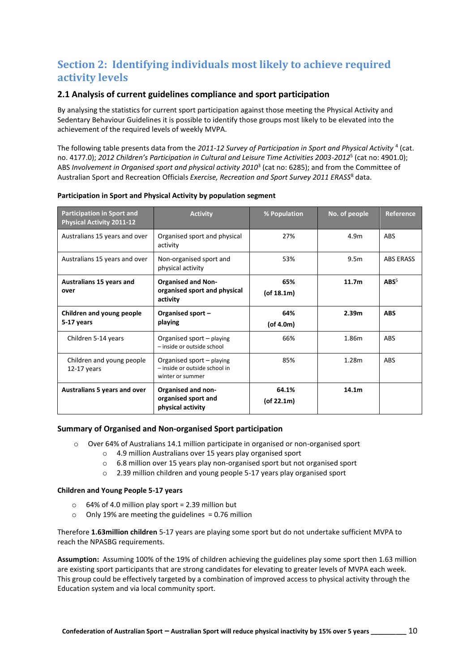# **Section 2: Identifying individuals most likely to achieve required activity levels**

## **2.1 Analysis of current guidelines compliance and sport participation**

By analysing the statistics for current sport participation against those meeting the Physical Activity and Sedentary Behaviour Guidelines it is possible to identify those groups most likely to be elevated into the achievement of the required levels of weekly MVPA.

The following table presents data from the 2011-12 Survey of Participation in Sport and Physical Activity <sup>4</sup> (cat. no. 4177.0); *2012 Children's Participation in Cultural and Leisure Time Activities 2003-2012*<sup>5</sup> (cat no: 4901.0); ABS *Involvement in Organised sport and physical activity 2010*<sup>3</sup> (cat no: 6285); and from the Committee of Australian Sport and Recreation Officials *Exercise, Recreation and Sport Survey 2011 ERASS*<sup>8</sup> data.

| <b>Participation in Sport and</b><br><b>Physical Activity 2011-12</b> | <b>Activity</b>                                                                | % Population            | No. of people     | <b>Reference</b> |
|-----------------------------------------------------------------------|--------------------------------------------------------------------------------|-------------------------|-------------------|------------------|
| Australians 15 years and over                                         | Organised sport and physical<br>activity                                       | 27%                     | 4.9 <sub>m</sub>  | <b>ABS</b>       |
| Australians 15 years and over                                         | Non-organised sport and<br>physical activity                                   | 53%                     | 9.5 <sub>m</sub>  | <b>ABS ERASS</b> |
| Australians 15 years and<br>over                                      | <b>Organised and Non-</b><br>organised sport and physical<br>activity          | 65%<br>$($ of 18.1m $)$ | 11.7 <sub>m</sub> | ABS <sup>5</sup> |
| Children and young people<br>5-17 years                               | Organised sport -<br>playing                                                   | 64%<br>$($ of 4.0m $)$  | 2.39 <sub>m</sub> | <b>ABS</b>       |
| Children 5-14 years                                                   | Organised sport - playing<br>- inside or outside school                        | 66%                     | 1.86m             | <b>ABS</b>       |
| Children and young people<br>$12-17$ years                            | Organised sport - playing<br>- inside or outside school in<br>winter or summer | 85%                     | 1.28m             | <b>ABS</b>       |
| <b>Australians 5 years and over</b>                                   | <b>Organised and non-</b><br>organised sport and<br>physical activity          | 64.1%<br>(of 22.1m)     | 14.1 <sub>m</sub> |                  |

#### **Participation in Sport and Physical Activity by population segment**

#### **Summary of Organised and Non-organised Sport participation**

- o Over 64% of Australians 14.1 million participate in organised or non-organised sport
	- o 4.9 million Australians over 15 years play organised sport
	- o 6.8 million over 15 years play non-organised sport but not organised sport
	- o 2.39 million children and young people 5-17 years play organised sport

#### **Children and Young People 5-17 years**

- $\circ$  64% of 4.0 million play sport = 2.39 million but
- $\circ$  Only 19% are meeting the guidelines = 0.76 million

Therefore **1.63million children** 5-17 years are playing some sport but do not undertake sufficient MVPA to reach the NPASBG requirements.

**Assumption:** Assuming 100% of the 19% of children achieving the guidelines play some sport then 1.63 million are existing sport participants that are strong candidates for elevating to greater levels of MVPA each week. This group could be effectively targeted by a combination of improved access to physical activity through the Education system and via local community sport.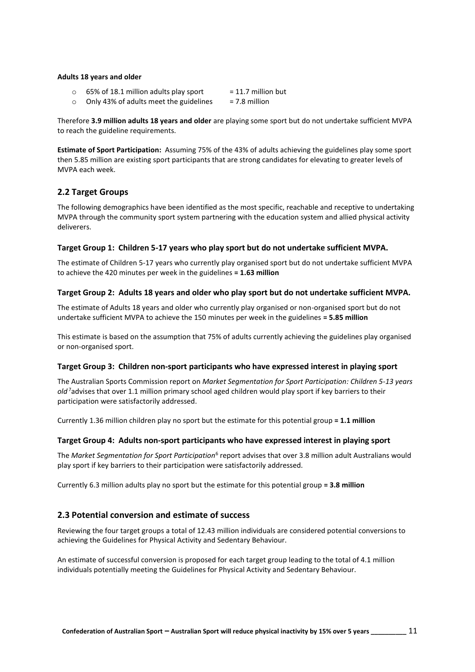#### **Adults 18 years and older**

- $\circ$  65% of 18.1 million adults play sport = 11.7 million but
- o Only 43% of adults meet the guidelines  $= 7.8$  million

Therefore **3.9 million adults 18 years and older** are playing some sport but do not undertake sufficient MVPA to reach the guideline requirements.

**Estimate of Sport Participation:** Assuming 75% of the 43% of adults achieving the guidelines play some sport then 5.85 million are existing sport participants that are strong candidates for elevating to greater levels of MVPA each week.

### **2.2 Target Groups**

The following demographics have been identified as the most specific, reachable and receptive to undertaking MVPA through the community sport system partnering with the education system and allied physical activity deliverers.

#### **Target Group 1: Children 5-17 years who play sport but do not undertake sufficient MVPA.**

The estimate of Children 5-17 years who currently play organised sport but do not undertake sufficient MVPA to achieve the 420 minutes per week in the guidelines **= 1.63 million**

#### **Target Group 2: Adults 18 years and older who play sport but do not undertake sufficient MVPA.**

The estimate of Adults 18 years and older who currently play organised or non-organised sport but do not undertake sufficient MVPA to achieve the 150 minutes per week in the guidelines **= 5.85 million**

This estimate is based on the assumption that 75% of adults currently achieving the guidelines play organised or non-organised sport.

#### **Target Group 3: Children non-sport participants who have expressed interest in playing sport**

The Australian Sports Commission report on *Market Segmentation for Sport Participation: Children 5-13 years old* <sup>7</sup>advises that over 1.1 million primary school aged children would play sport if key barriers to their participation were satisfactorily addressed.

Currently 1.36 million children play no sport but the estimate for this potential group **= 1.1 million**

#### **Target Group 4: Adults non-sport participants who have expressed interest in playing sport**

The *Market Segmentation for Sport Participation*<sup>6</sup> report advises that over 3.8 million adult Australians would play sport if key barriers to their participation were satisfactorily addressed.

Currently 6.3 million adults play no sport but the estimate for this potential group **= 3.8 million**

### **2.3 Potential conversion and estimate of success**

Reviewing the four target groups a total of 12.43 million individuals are considered potential conversions to achieving the Guidelines for Physical Activity and Sedentary Behaviour.

An estimate of successful conversion is proposed for each target group leading to the total of 4.1 million individuals potentially meeting the Guidelines for Physical Activity and Sedentary Behaviour.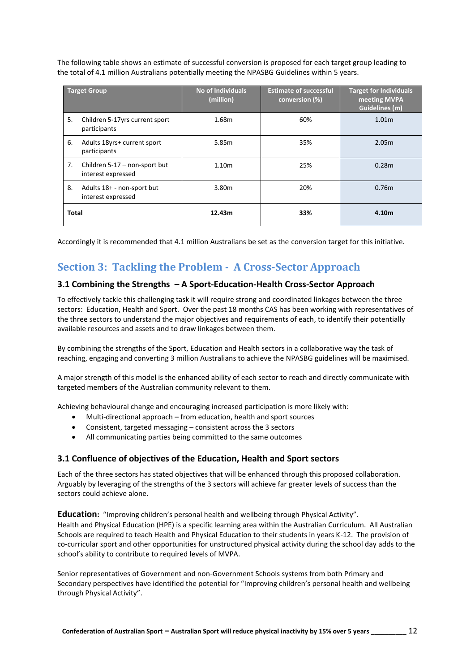The following table shows an estimate of successful conversion is proposed for each target group leading to the total of 4.1 million Australians potentially meeting the NPASBG Guidelines within 5 years.

|              | <b>Target Group</b>                                 | <b>No of Individuals</b><br>(million) | <b>Estimate of successful</b><br>conversion (%) | <b>Target for Individuals</b><br>meeting MVPA<br>Guidelines (m) |
|--------------|-----------------------------------------------------|---------------------------------------|-------------------------------------------------|-----------------------------------------------------------------|
| 5.           | Children 5-17yrs current sport<br>participants      | 1.68m                                 | 60%                                             | 1.01 <sub>m</sub>                                               |
| 6.           | Adults 18yrs+ current sport<br>participants         | 5.85m                                 | 35%                                             | 2.05m                                                           |
| 7.           | Children 5-17 – non-sport but<br>interest expressed | 1.10 <sub>m</sub>                     | 25%                                             | 0.28 <sub>m</sub>                                               |
| 8.           | Adults 18+ - non-sport but<br>interest expressed    | 3.80m                                 | 20%                                             | 0.76 <sub>m</sub>                                               |
| <b>Total</b> |                                                     | 12.43m                                | 33%                                             | 4.10m                                                           |

Accordingly it is recommended that 4.1 million Australians be set as the conversion target for this initiative.

# **Section 3: Tackling the Problem - A Cross-Sector Approach**

## **3.1 Combining the Strengths – A Sport-Education-Health Cross-Sector Approach**

To effectively tackle this challenging task it will require strong and coordinated linkages between the three sectors: Education, Health and Sport. Over the past 18 months CAS has been working with representatives of the three sectors to understand the major objectives and requirements of each, to identify their potentially available resources and assets and to draw linkages between them.

By combining the strengths of the Sport, Education and Health sectors in a collaborative way the task of reaching, engaging and converting 3 million Australians to achieve the NPASBG guidelines will be maximised.

A major strength of this model is the enhanced ability of each sector to reach and directly communicate with targeted members of the Australian community relevant to them.

Achieving behavioural change and encouraging increased participation is more likely with:

- Multi-directional approach from education, health and sport sources
- Consistent, targeted messaging consistent across the 3 sectors
- All communicating parties being committed to the same outcomes

## **3.1 Confluence of objectives of the Education, Health and Sport sectors**

Each of the three sectors has stated objectives that will be enhanced through this proposed collaboration. Arguably by leveraging of the strengths of the 3 sectors will achieve far greater levels of success than the sectors could achieve alone.

**Education:** "Improving children's personal health and wellbeing through Physical Activity". Health and Physical Education (HPE) is a specific learning area within the Australian Curriculum. All Australian Schools are required to teach Health and Physical Education to their students in years K-12. The provision of co-curricular sport and other opportunities for unstructured physical activity during the school day adds to the school's ability to contribute to required levels of MVPA.

Senior representatives of Government and non-Government Schools systems from both Primary and Secondary perspectives have identified the potential for "Improving children's personal health and wellbeing through Physical Activity".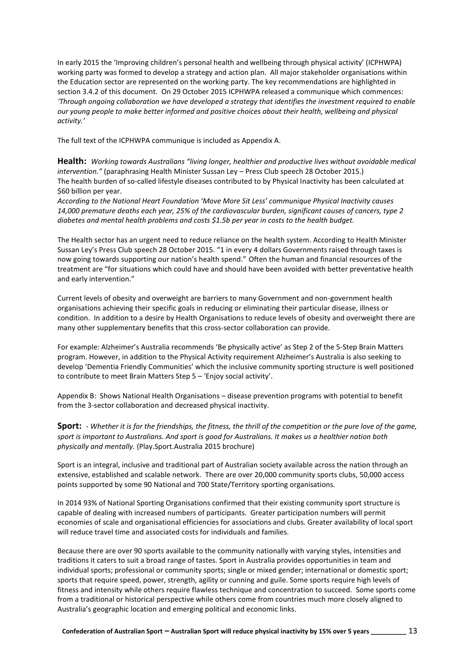In early 2015 the 'Improving children's personal health and wellbeing through physical activity' (ICPHWPA) working party was formed to develop a strategy and action plan. All major stakeholder organisations within the Education sector are represented on the working party. The key recommendations are highlighted in section 3.4.2 of this document. On 29 October 2015 ICPHWPA released a communique which commences: *'Through ongoing collaboration we have developed a strategy that identifies the investment required to enable our young people to make better informed and positive choices about their health, wellbeing and physical activity.'*

The full text of the ICPHWPA communique is included as Appendix A.

**Health:** *Working towards Australians "living longer, healthier and productive lives without avoidable medical intervention."* (paraphrasing Health Minister Sussan Ley – Press Club speech 28 October 2015.) The health burden of so-called lifestyle diseases contributed to by Physical Inactivity has been calculated at \$60 billion per year.

*According to the National Heart Foundation 'Move More Sit Less' communique Physical Inactivity causes 14,000 premature deaths each year, 25% of the cardiovascular burden, significant causes of cancers, type 2 diabetes and mental health problems and costs \$1.5b per year in costs to the health budget.*

The Health sector has an urgent need to reduce reliance on the health system. According to Health Minister Sussan Ley's Press Club speech 28 October 2015. "1 in every 4 dollars Governments raised through taxes is now going towards supporting our nation's health spend." Often the human and financial resources of the treatment are "for situations which could have and should have been avoided with better preventative health and early intervention."

Current levels of obesity and overweight are barriers to many Government and non-government health organisations achieving their specific goals in reducing or eliminating their particular disease, illness or condition. In addition to a desire by Health Organisations to reduce levels of obesity and overweight there are many other supplementary benefits that this cross-sector collaboration can provide.

For example: Alzheimer's Australia recommends 'Be physically active' as Step 2 of the 5-Step Brain Matters program. However, in addition to the Physical Activity requirement Alzheimer's Australia is also seeking to develop 'Dementia Friendly Communities' which the inclusive community sporting structure is well positioned to contribute to meet Brain Matters Step 5 – 'Enjoy social activity'.

Appendix B: Shows National Health Organisations – disease prevention programs with potential to benefit from the 3-sector collaboration and decreased physical inactivity.

**Sport:** - *Whether it is for the friendships, the fitness, the thrill of the competition or the pure love of the game, sport is important to Australians. And sport is good for Australians. It makes us a healthier nation both physically and mentally.* (Play.Sport.Australia 2015 brochure)

Sport is an integral, inclusive and traditional part of Australian society available across the nation through an extensive, established and scalable network. There are over 20,000 community sports clubs, 50,000 access points supported by some 90 National and 700 State/Territory sporting organisations.

In 2014 93% of National Sporting Organisations confirmed that their existing community sport structure is capable of dealing with increased numbers of participants. Greater participation numbers will permit economies of scale and organisational efficiencies for associations and clubs. Greater availability of local sport will reduce travel time and associated costs for individuals and families.

Because there are over 90 sports available to the community nationally with varying styles, intensities and traditions it caters to suit a broad range of tastes. Sport in Australia provides opportunities in team and individual sports; professional or community sports; single or mixed gender; international or domestic sport; sports that require speed, power, strength, agility or cunning and guile. Some sports require high levels of fitness and intensity while others require flawless technique and concentration to succeed. Some sports come from a traditional or historical perspective while others come from countries much more closely aligned to Australia's geographic location and emerging political and economic links.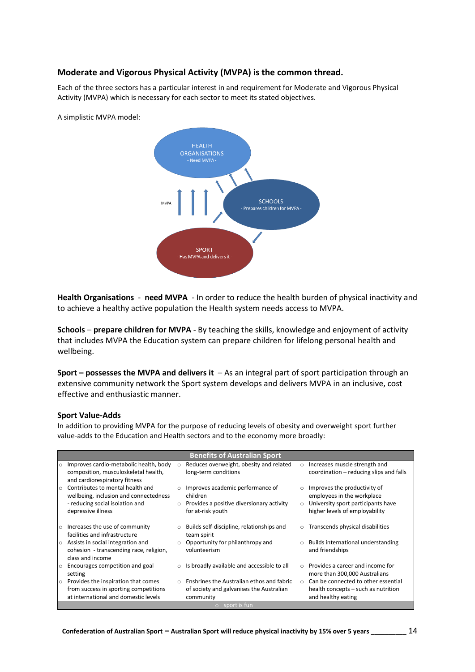## **Moderate and Vigorous Physical Activity (MVPA) is the common thread.**

Each of the three sectors has a particular interest in and requirement for Moderate and Vigorous Physical Activity (MVPA) which is necessary for each sector to meet its stated objectives.



A simplistic MVPA model:

**Health Organisations** - **need MVPA** - In order to reduce the health burden of physical inactivity and to achieve a healthy active population the Health system needs access to MVPA.

**Schools** – **prepare children for MVPA** - By teaching the skills, knowledge and enjoyment of activity that includes MVPA the Education system can prepare children for lifelong personal health and wellbeing.

**Sport – possesses the MVPA and delivers it** – As an integral part of sport participation through an extensive community network the Sport system develops and delivers MVPA in an inclusive, cost effective and enthusiastic manner.

#### **Sport Value-Adds**

In addition to providing MVPA for the purpose of reducing levels of obesity and overweight sport further value-adds to the Education and Health sectors and to the economy more broadly:

|         | <b>Benefits of Australian Sport</b>                                                                                                 |                    |                                                                                                                |                     |                                                                                                                                    |  |  |  |
|---------|-------------------------------------------------------------------------------------------------------------------------------------|--------------------|----------------------------------------------------------------------------------------------------------------|---------------------|------------------------------------------------------------------------------------------------------------------------------------|--|--|--|
| $\circ$ | Improves cardio-metabolic health, body<br>composition, musculoskeletal health,<br>and cardiorespiratory fitness                     | $\circ$            | Reduces overweight, obesity and related<br>long-term conditions                                                | $\circ$             | Increases muscle strength and<br>coordination – reducing slips and falls                                                           |  |  |  |
| $\circ$ | Contributes to mental health and<br>wellbeing, inclusion and connectedness<br>- reducing social isolation and<br>depressive illness | $\circ$<br>$\circ$ | Improves academic performance of<br>children<br>Provides a positive diversionary activity<br>for at-risk youth | $\circ$<br>$\Omega$ | Improves the productivity of<br>employees in the workplace<br>University sport participants have<br>higher levels of employability |  |  |  |
| $\circ$ | Increases the use of community<br>facilities and infrastructure                                                                     | $\circ$            | Builds self-discipline, relationships and<br>team spirit                                                       | $\circ$             | Transcends physical disabilities                                                                                                   |  |  |  |
|         | $\circ$ Assists in social integration and<br>cohesion - transcending race, religion,<br>class and income                            | $\circ$            | Opportunity for philanthropy and<br>volunteerism                                                               | $\circ$             | Builds international understanding<br>and friendships                                                                              |  |  |  |
| $\circ$ | Encourages competition and goal<br>setting                                                                                          | $\circ$            | Is broadly available and accessible to all                                                                     | $\cap$              | Provides a career and income for<br>more than 300,000 Australians                                                                  |  |  |  |
| $\circ$ | Provides the inspiration that comes<br>from success in sporting competitions<br>at international and domestic levels                | $\circ$            | Enshrines the Australian ethos and fabric<br>of society and galvanises the Australian<br>community             | $\Omega$            | Can be connected to other essential<br>health concepts – such as nutrition<br>and healthy eating                                   |  |  |  |
|         | $\circ$ sport is fun                                                                                                                |                    |                                                                                                                |                     |                                                                                                                                    |  |  |  |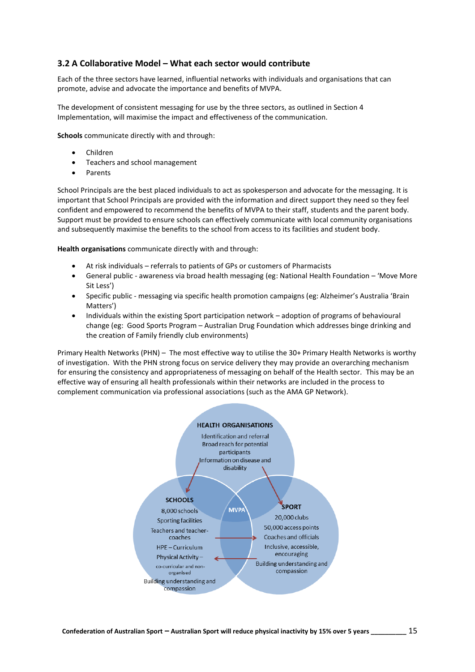## **3.2 A Collaborative Model – What each sector would contribute**

Each of the three sectors have learned, influential networks with individuals and organisations that can promote, advise and advocate the importance and benefits of MVPA.

The development of consistent messaging for use by the three sectors, as outlined in Section 4 Implementation, will maximise the impact and effectiveness of the communication.

**Schools** communicate directly with and through:

- Children
- Teachers and school management
- Parents

School Principals are the best placed individuals to act as spokesperson and advocate for the messaging. It is important that School Principals are provided with the information and direct support they need so they feel confident and empowered to recommend the benefits of MVPA to their staff, students and the parent body. Support must be provided to ensure schools can effectively communicate with local community organisations and subsequently maximise the benefits to the school from access to its facilities and student body.

**Health organisations** communicate directly with and through:

- At risk individuals referrals to patients of GPs or customers of Pharmacists
- General public awareness via broad health messaging (eg: National Health Foundation 'Move More Sit Less')
- Specific public messaging via specific health promotion campaigns (eg: Alzheimer's Australia 'Brain Matters')
- Individuals within the existing Sport participation network adoption of programs of behavioural change (eg: Good Sports Program – Australian Drug Foundation which addresses binge drinking and the creation of Family friendly club environments)

Primary Health Networks (PHN) – The most effective way to utilise the 30+ Primary Health Networks is worthy of investigation. With the PHN strong focus on service delivery they may provide an overarching mechanism for ensuring the consistency and appropriateness of messaging on behalf of the Health sector. This may be an effective way of ensuring all health professionals within their networks are included in the process to complement communication via professional associations (such as the AMA GP Network).

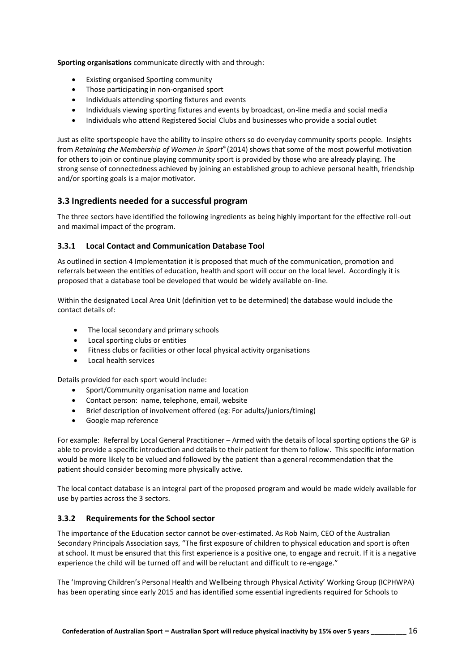**Sporting organisations** communicate directly with and through:

- Existing organised Sporting community
- Those participating in non-organised sport
- Individuals attending sporting fixtures and events
- Individuals viewing sporting fixtures and events by broadcast, on-line media and social media
- Individuals who attend Registered Social Clubs and businesses who provide a social outlet

Just as elite sportspeople have the ability to inspire others so do everyday community sports people. Insights from *Retaining the Membership of Women in Sport*<sup>9</sup>(2014) shows that some of the most powerful motivation for others to join or continue playing community sport is provided by those who are already playing. The strong sense of connectedness achieved by joining an established group to achieve personal health, friendship and/or sporting goals is a major motivator.

## **3.3 Ingredients needed for a successful program**

The three sectors have identified the following ingredients as being highly important for the effective roll-out and maximal impact of the program.

#### **3.3.1 Local Contact and Communication Database Tool**

As outlined in section 4 Implementation it is proposed that much of the communication, promotion and referrals between the entities of education, health and sport will occur on the local level. Accordingly it is proposed that a database tool be developed that would be widely available on-line.

Within the designated Local Area Unit (definition yet to be determined) the database would include the contact details of:

- The local secondary and primary schools
- Local sporting clubs or entities
- Fitness clubs or facilities or other local physical activity organisations
- Local health services

Details provided for each sport would include:

- Sport/Community organisation name and location
- Contact person: name, telephone, email, website
- Brief description of involvement offered (eg: For adults/juniors/timing)
- Google map reference

For example: Referral by Local General Practitioner – Armed with the details of local sporting options the GP is able to provide a specific introduction and details to their patient for them to follow. This specific information would be more likely to be valued and followed by the patient than a general recommendation that the patient should consider becoming more physically active.

The local contact database is an integral part of the proposed program and would be made widely available for use by parties across the 3 sectors.

### **3.3.2 Requirements for the School sector**

The importance of the Education sector cannot be over-estimated. As Rob Nairn, CEO of the Australian Secondary Principals Association says, "The first exposure of children to physical education and sport is often at school. It must be ensured that this first experience is a positive one, to engage and recruit. If it is a negative experience the child will be turned off and will be reluctant and difficult to re-engage."

The 'Improving Children's Personal Health and Wellbeing through Physical Activity' Working Group (ICPHWPA) has been operating since early 2015 and has identified some essential ingredients required for Schools to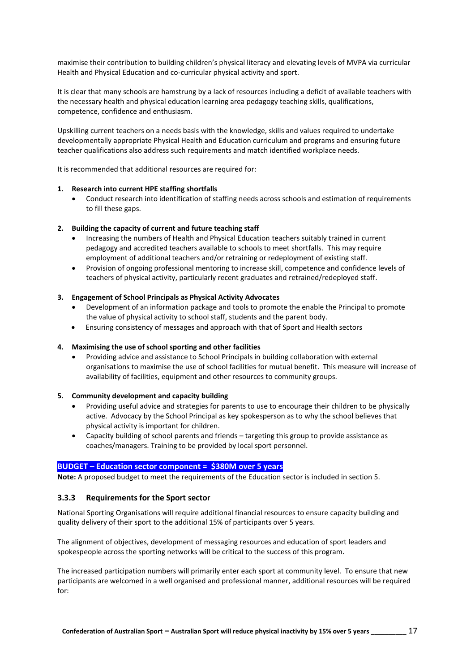maximise their contribution to building children's physical literacy and elevating levels of MVPA via curricular Health and Physical Education and co-curricular physical activity and sport.

It is clear that many schools are hamstrung by a lack of resources including a deficit of available teachers with the necessary health and physical education learning area pedagogy teaching skills, qualifications, competence, confidence and enthusiasm.

Upskilling current teachers on a needs basis with the knowledge, skills and values required to undertake developmentally appropriate Physical Health and Education curriculum and programs and ensuring future teacher qualifications also address such requirements and match identified workplace needs.

It is recommended that additional resources are required for:

#### **1. Research into current HPE staffing shortfalls**

• Conduct research into identification of staffing needs across schools and estimation of requirements to fill these gaps.

#### **2. Building the capacity of current and future teaching staff**

- Increasing the numbers of Health and Physical Education teachers suitably trained in current pedagogy and accredited teachers available to schools to meet shortfalls. This may require employment of additional teachers and/or retraining or redeployment of existing staff.
- Provision of ongoing professional mentoring to increase skill, competence and confidence levels of teachers of physical activity, particularly recent graduates and retrained/redeployed staff.

#### **3. Engagement of School Principals as Physical Activity Advocates**

- Development of an information package and tools to promote the enable the Principal to promote the value of physical activity to school staff, students and the parent body.
- Ensuring consistency of messages and approach with that of Sport and Health sectors

#### **4. Maximising the use of school sporting and other facilities**

• Providing advice and assistance to School Principals in building collaboration with external organisations to maximise the use of school facilities for mutual benefit. This measure will increase of availability of facilities, equipment and other resources to community groups.

#### **5. Community development and capacity building**

- Providing useful advice and strategies for parents to use to encourage their children to be physically active. Advocacy by the School Principal as key spokesperson as to why the school believes that physical activity is important for children.
- Capacity building of school parents and friends targeting this group to provide assistance as coaches/managers. Training to be provided by local sport personnel.

#### **BUDGET – Education sector component = \$380M over 5 years**

**Note:** A proposed budget to meet the requirements of the Education sector is included in section 5.

#### **3.3.3 Requirements for the Sport sector**

National Sporting Organisations will require additional financial resources to ensure capacity building and quality delivery of their sport to the additional 15% of participants over 5 years.

The alignment of objectives, development of messaging resources and education of sport leaders and spokespeople across the sporting networks will be critical to the success of this program.

The increased participation numbers will primarily enter each sport at community level. To ensure that new participants are welcomed in a well organised and professional manner, additional resources will be required for: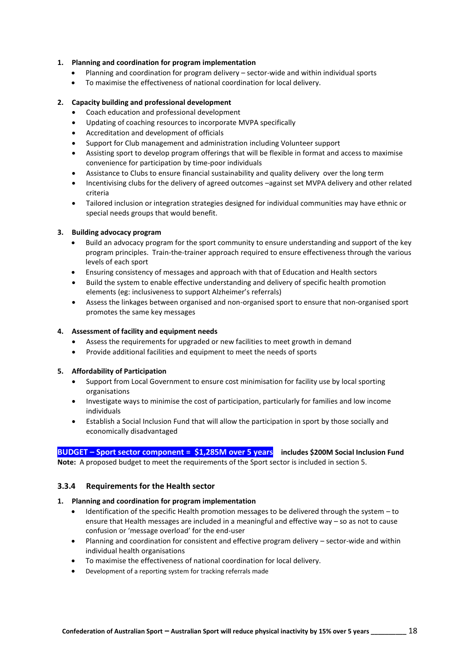#### **1. Planning and coordination for program implementation**

- Planning and coordination for program delivery sector-wide and within individual sports
- To maximise the effectiveness of national coordination for local delivery.

#### **2. Capacity building and professional development**

- Coach education and professional development
- Updating of coaching resources to incorporate MVPA specifically
- Accreditation and development of officials
- Support for Club management and administration including Volunteer support
- Assisting sport to develop program offerings that will be flexible in format and access to maximise convenience for participation by time-poor individuals
- Assistance to Clubs to ensure financial sustainability and quality delivery over the long term
- Incentivising clubs for the delivery of agreed outcomes –against set MVPA delivery and other related criteria
- Tailored inclusion or integration strategies designed for individual communities may have ethnic or special needs groups that would benefit.

#### **3. Building advocacy program**

- Build an advocacy program for the sport community to ensure understanding and support of the key program principles. Train-the-trainer approach required to ensure effectiveness through the various levels of each sport
- Ensuring consistency of messages and approach with that of Education and Health sectors
- Build the system to enable effective understanding and delivery of specific health promotion elements (eg: inclusiveness to support Alzheimer's referrals)
- Assess the linkages between organised and non-organised sport to ensure that non-organised sport promotes the same key messages

#### **4. Assessment of facility and equipment needs**

- Assess the requirements for upgraded or new facilities to meet growth in demand
- Provide additional facilities and equipment to meet the needs of sports

#### **5. Affordability of Participation**

- Support from Local Government to ensure cost minimisation for facility use by local sporting organisations
- Investigate ways to minimise the cost of participation, particularly for families and low income individuals
- Establish a Social Inclusion Fund that will allow the participation in sport by those socially and economically disadvantaged

### **BUDGET – Sport sector component = \$1,285M over 5 years includes \$200M Social Inclusion Fund**

**Note:** A proposed budget to meet the requirements of the Sport sector is included in section 5.

### **3.3.4 Requirements for the Health sector**

#### **1. Planning and coordination for program implementation**

- Identification of the specific Health promotion messages to be delivered through the system to ensure that Health messages are included in a meaningful and effective way – so as not to cause confusion or 'message overload' for the end-user
- Planning and coordination for consistent and effective program delivery sector-wide and within individual health organisations
- To maximise the effectiveness of national coordination for local delivery.
- Development of a reporting system for tracking referrals made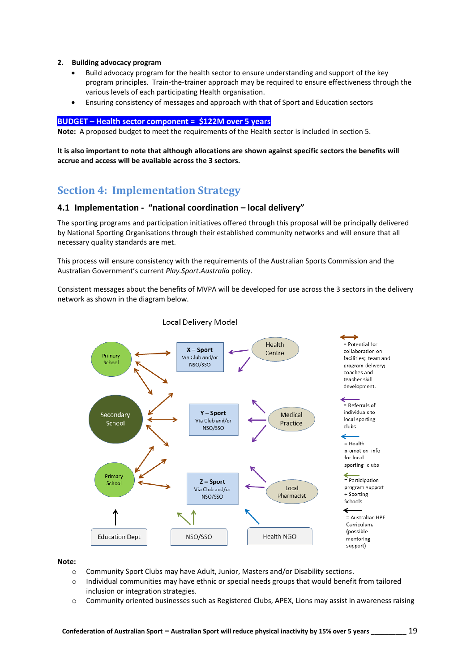#### **2. Building advocacy program**

- Build advocacy program for the health sector to ensure understanding and support of the key program principles. Train-the-trainer approach may be required to ensure effectiveness through the various levels of each participating Health organisation.
- Ensuring consistency of messages and approach with that of Sport and Education sectors

#### **BUDGET – Health sector component = \$122M over 5 years**

**Note:** A proposed budget to meet the requirements of the Health sector is included in section 5.

**It is also important to note that although allocations are shown against specific sectors the benefits will accrue and access will be available across the 3 sectors.**

## **Section 4: Implementation Strategy**

## **4.1 Implementation - "national coordination – local delivery"**

The sporting programs and participation initiatives offered through this proposal will be principally delivered by National Sporting Organisations through their established community networks and will ensure that all necessary quality standards are met.

This process will ensure consistency with the requirements of the Australian Sports Commission and the Australian Government's current *Play.Sport.Australia* policy.

Consistent messages about the benefits of MVPA will be developed for use across the 3 sectors in the delivery network as shown in the diagram below.



Local Delivery Model

#### **Note:**

- o Community Sport Clubs may have Adult, Junior, Masters and/or Disability sections.
- $\circ$  Individual communities may have ethnic or special needs groups that would benefit from tailored inclusion or integration strategies.
- $\circ$  Community oriented businesses such as Registered Clubs, APEX, Lions may assist in awareness raising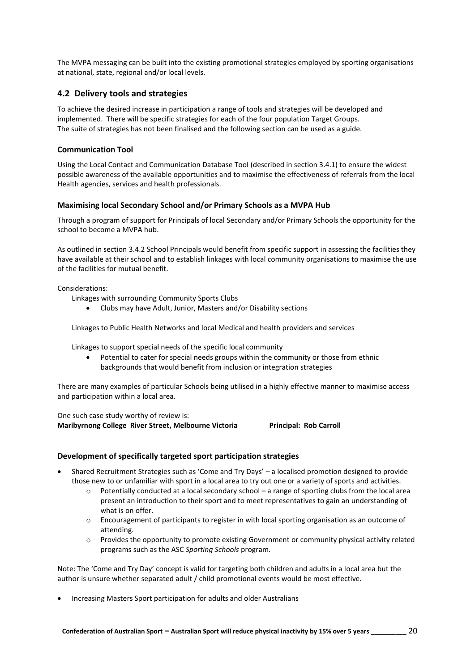The MVPA messaging can be built into the existing promotional strategies employed by sporting organisations at national, state, regional and/or local levels.

## **4.2 Delivery tools and strategies**

To achieve the desired increase in participation a range of tools and strategies will be developed and implemented. There will be specific strategies for each of the four population Target Groups. The suite of strategies has not been finalised and the following section can be used as a guide.

#### **Communication Tool**

Using the Local Contact and Communication Database Tool (described in section 3.4.1) to ensure the widest possible awareness of the available opportunities and to maximise the effectiveness of referrals from the local Health agencies, services and health professionals.

#### **Maximising local Secondary School and/or Primary Schools as a MVPA Hub**

Through a program of support for Principals of local Secondary and/or Primary Schools the opportunity for the school to become a MVPA hub.

As outlined in section 3.4.2 School Principals would benefit from specific support in assessing the facilities they have available at their school and to establish linkages with local community organisations to maximise the use of the facilities for mutual benefit.

#### Considerations:

Linkages with surrounding Community Sports Clubs

• Clubs may have Adult, Junior, Masters and/or Disability sections

Linkages to Public Health Networks and local Medical and health providers and services

Linkages to support special needs of the specific local community

Potential to cater for special needs groups within the community or those from ethnic backgrounds that would benefit from inclusion or integration strategies

There are many examples of particular Schools being utilised in a highly effective manner to maximise access and participation within a local area.

One such case study worthy of review is: **Maribyrnong College River Street, Melbourne Victoria Principal: Rob Carroll**

### **Development of specifically targeted sport participation strategies**

- Shared Recruitment Strategies such as 'Come and Try Days' a localised promotion designed to provide those new to or unfamiliar with sport in a local area to try out one or a variety of sports and activities.
	- o Potentially conducted at a local secondary school a range of sporting clubs from the local area present an introduction to their sport and to meet representatives to gain an understanding of what is on offer.
	- $\circ$  Encouragement of participants to register in with local sporting organisation as an outcome of attending.
	- $\circ$  Provides the opportunity to promote existing Government or community physical activity related programs such as the ASC *Sporting Schools* program.

Note: The 'Come and Try Day' concept is valid for targeting both children and adults in a local area but the author is unsure whether separated adult / child promotional events would be most effective.

• Increasing Masters Sport participation for adults and older Australians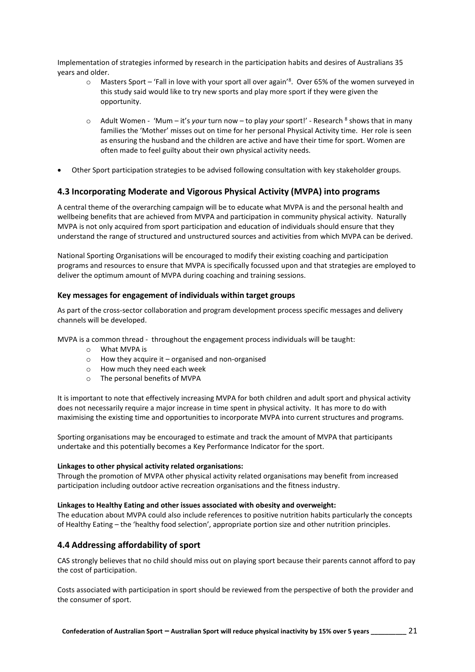Implementation of strategies informed by research in the participation habits and desires of Australians 35 years and older.

- $\circ$  Masters Sport 'Fall in love with your sport all over again'<sup>8</sup>. Over 65% of the women surveyed in this study said would like to try new sports and play more sport if they were given the opportunity.
- o Adult Women 'Mum it's your turn now to play your sport!' Research <sup>8</sup> shows that in many families the 'Mother' misses out on time for her personal Physical Activity time. Her role is seen as ensuring the husband and the children are active and have their time for sport. Women are often made to feel guilty about their own physical activity needs.
- Other Sport participation strategies to be advised following consultation with key stakeholder groups.

## **4.3 Incorporating Moderate and Vigorous Physical Activity (MVPA) into programs**

A central theme of the overarching campaign will be to educate what MVPA is and the personal health and wellbeing benefits that are achieved from MVPA and participation in community physical activity. Naturally MVPA is not only acquired from sport participation and education of individuals should ensure that they understand the range of structured and unstructured sources and activities from which MVPA can be derived.

National Sporting Organisations will be encouraged to modify their existing coaching and participation programs and resources to ensure that MVPA is specifically focussed upon and that strategies are employed to deliver the optimum amount of MVPA during coaching and training sessions.

#### **Key messages for engagement of individuals within target groups**

As part of the cross-sector collaboration and program development process specific messages and delivery channels will be developed.

MVPA is a common thread - throughout the engagement process individuals will be taught:

- o What MVPA is
- $\circ$  How they acquire it organised and non-organised
- o How much they need each week
- o The personal benefits of MVPA

It is important to note that effectively increasing MVPA for both children and adult sport and physical activity does not necessarily require a major increase in time spent in physical activity. It has more to do with maximising the existing time and opportunities to incorporate MVPA into current structures and programs.

Sporting organisations may be encouraged to estimate and track the amount of MVPA that participants undertake and this potentially becomes a Key Performance Indicator for the sport.

#### **Linkages to other physical activity related organisations:**

Through the promotion of MVPA other physical activity related organisations may benefit from increased participation including outdoor active recreation organisations and the fitness industry.

#### **Linkages to Healthy Eating and other issues associated with obesity and overweight:**

The education about MVPA could also include references to positive nutrition habits particularly the concepts of Healthy Eating – the 'healthy food selection', appropriate portion size and other nutrition principles.

### **4.4 Addressing affordability of sport**

CAS strongly believes that no child should miss out on playing sport because their parents cannot afford to pay the cost of participation.

Costs associated with participation in sport should be reviewed from the perspective of both the provider and the consumer of sport.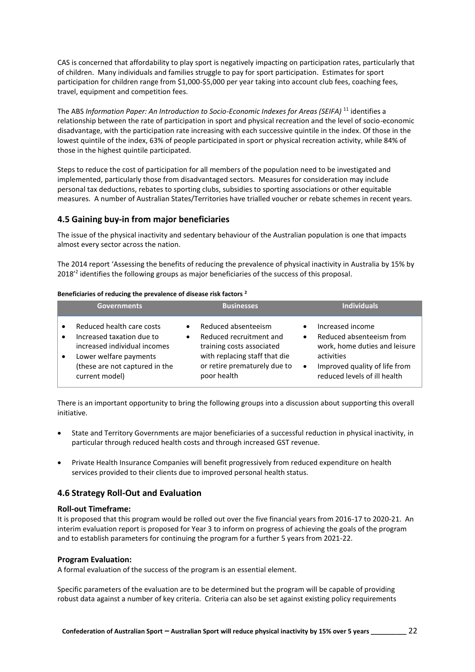CAS is concerned that affordability to play sport is negatively impacting on participation rates, particularly that of children. Many individuals and families struggle to pay for sport participation. Estimates for sport participation for children range from \$1,000-\$5,000 per year taking into account club fees, coaching fees, travel, equipment and competition fees.

The ABS *Information Paper: An Introduction to Socio-Economic Indexes for Areas (SEIFA)* <sup>11</sup> identifies a relationship between the rate of participation in sport and physical recreation and the level of socio-economic disadvantage, with the participation rate increasing with each successive quintile in the index. Of those in the lowest quintile of the index, 63% of people participated in sport or physical recreation activity, while 84% of those in the highest quintile participated.

Steps to reduce the cost of participation for all members of the population need to be investigated and implemented, particularly those from disadvantaged sectors. Measures for consideration may include personal tax deductions, rebates to sporting clubs, subsidies to sporting associations or other equitable measures. A number of Australian States/Territories have trialled voucher or rebate schemes in recent years.

## **4.5 Gaining buy-in from major beneficiaries**

The issue of the physical inactivity and sedentary behaviour of the Australian population is one that impacts almost every sector across the nation.

The 2014 report 'Assessing the benefits of reducing the prevalence of physical inactivity in Australia by 15% by 2018<sup>'2</sup> identifies the following groups as major beneficiaries of the success of this proposal.

#### **Beneficiaries of reducing the prevalence of disease risk factors <sup>2</sup>**

|                        | <b>Governments</b>                                                                                                                                                   | <b>Businesses</b>                                                                                                                                           |                                                                                                                                                                                        |
|------------------------|----------------------------------------------------------------------------------------------------------------------------------------------------------------------|-------------------------------------------------------------------------------------------------------------------------------------------------------------|----------------------------------------------------------------------------------------------------------------------------------------------------------------------------------------|
| $\bullet$<br>$\bullet$ | Reduced health care costs<br>Increased taxation due to<br>increased individual incomes<br>Lower welfare payments<br>(these are not captured in the<br>current model) | Reduced absenteeism<br>Reduced recruitment and<br>training costs associated<br>with replacing staff that die<br>or retire prematurely due to<br>poor health | Increased income<br>Reduced absenteeism from<br>$\bullet$<br>work, home duties and leisure<br>activities<br>Improved quality of life from<br>$\bullet$<br>reduced levels of ill health |

There is an important opportunity to bring the following groups into a discussion about supporting this overall initiative.

- State and Territory Governments are major beneficiaries of a successful reduction in physical inactivity, in particular through reduced health costs and through increased GST revenue.
- Private Health Insurance Companies will benefit progressively from reduced expenditure on health services provided to their clients due to improved personal health status.

### **4.6 Strategy Roll-Out and Evaluation**

#### **Roll-out Timeframe:**

It is proposed that this program would be rolled out over the five financial years from 2016-17 to 2020-21. An interim evaluation report is proposed for Year 3 to inform on progress of achieving the goals of the program and to establish parameters for continuing the program for a further 5 years from 2021-22.

#### **Program Evaluation:**

A formal evaluation of the success of the program is an essential element.

Specific parameters of the evaluation are to be determined but the program will be capable of providing robust data against a number of key criteria. Criteria can also be set against existing policy requirements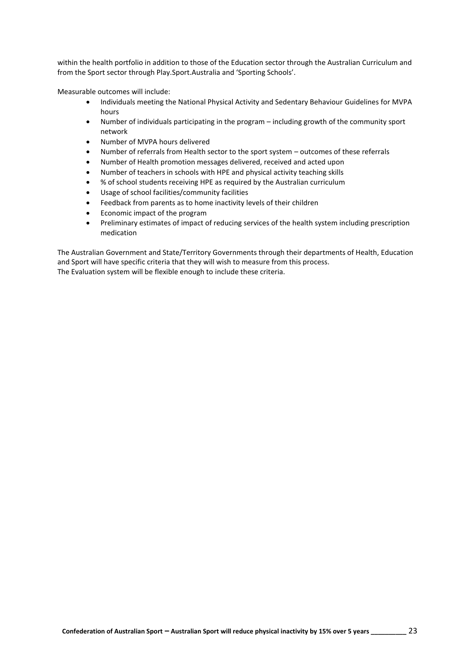within the health portfolio in addition to those of the Education sector through the Australian Curriculum and from the Sport sector through Play.Sport.Australia and 'Sporting Schools'.

Measurable outcomes will include:

- Individuals meeting the National Physical Activity and Sedentary Behaviour Guidelines for MVPA hours
- Number of individuals participating in the program including growth of the community sport network
- Number of MVPA hours delivered
- Number of referrals from Health sector to the sport system outcomes of these referrals
- Number of Health promotion messages delivered, received and acted upon
- Number of teachers in schools with HPE and physical activity teaching skills
- % of school students receiving HPE as required by the Australian curriculum
- Usage of school facilities/community facilities
- Feedback from parents as to home inactivity levels of their children
- Economic impact of the program
- Preliminary estimates of impact of reducing services of the health system including prescription medication

The Australian Government and State/Territory Governments through their departments of Health, Education and Sport will have specific criteria that they will wish to measure from this process. The Evaluation system will be flexible enough to include these criteria.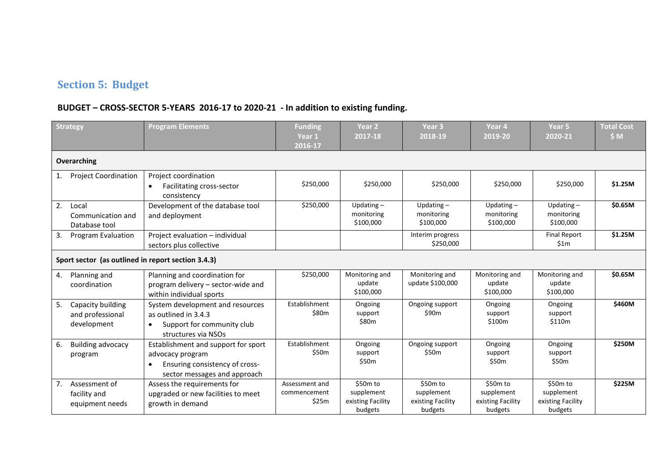# **Section 5: Budget**

## **BUDGET – CROSS-SECTOR 5-YEARS 2016-17 to 2020-21 - In addition to existing funding.**

|    | <b>Strategy</b>                                      | <b>Program Elements</b>                                                                                                                | <b>Funding</b><br>Year 1<br>2016-17     | Year <sub>2</sub><br>2017-18                           | Year <sub>3</sub><br>2018-19                           | Year 4<br>2019-20                                      | Year <sub>5</sub><br>2020-21                           | <b>Total Cost</b><br>\$M |
|----|------------------------------------------------------|----------------------------------------------------------------------------------------------------------------------------------------|-----------------------------------------|--------------------------------------------------------|--------------------------------------------------------|--------------------------------------------------------|--------------------------------------------------------|--------------------------|
|    | Overarching                                          |                                                                                                                                        |                                         |                                                        |                                                        |                                                        |                                                        |                          |
| 1. | <b>Project Coordination</b>                          | Project coordination<br>Facilitating cross-sector<br>$\bullet$<br>consistency                                                          | \$250,000                               | \$250,000                                              | \$250,000                                              | \$250,000                                              | \$250,000                                              | \$1.25M                  |
| 2. | Local<br>Communication and<br>Database tool          | Development of the database tool<br>and deployment                                                                                     | \$250,000                               | Updating $-$<br>monitoring<br>\$100,000                | Updating $-$<br>monitoring<br>\$100,000                | Updating $-$<br>monitoring<br>\$100,000                | Updating $-$<br>monitoring<br>\$100,000                | \$0.65M                  |
| 3. | <b>Program Evaluation</b>                            | Project evaluation - individual<br>sectors plus collective                                                                             |                                         |                                                        | Interim progress<br>\$250,000                          |                                                        | <b>Final Report</b><br>\$1m                            | \$1.25M                  |
|    | Sport sector (as outlined in report section 3.4.3)   |                                                                                                                                        |                                         |                                                        |                                                        |                                                        |                                                        |                          |
| 4. | Planning and<br>coordination                         | Planning and coordination for<br>program delivery - sector-wide and<br>within individual sports                                        | \$250,000                               | Monitoring and<br>update<br>\$100,000                  | Monitoring and<br>update \$100,000                     | Monitoring and<br>update<br>\$100,000                  | Monitoring and<br>update<br>\$100,000                  | \$0.65M                  |
| 5. | Capacity building<br>and professional<br>development | System development and resources<br>as outlined in 3.4.3<br>Support for community club<br>structures via NSOs                          | Establishment<br>\$80m                  | Ongoing<br>support<br>\$80m                            | Ongoing support<br>\$90m                               | Ongoing<br>support<br>\$100m                           | Ongoing<br>support<br>\$110m                           | \$460M                   |
| 6. | <b>Building advocacy</b><br>program                  | Establishment and support for sport<br>advocacy program<br>Ensuring consistency of cross-<br>$\bullet$<br>sector messages and approach | Establishment<br>\$50m                  | Ongoing<br>support<br>\$50m                            | Ongoing support<br>\$50 <sub>m</sub>                   | Ongoing<br>support<br>\$50m                            | Ongoing<br>support<br>\$50m                            | \$250M                   |
| 7. | Assessment of<br>facility and<br>equipment needs     | Assess the requirements for<br>upgraded or new facilities to meet<br>growth in demand                                                  | Assessment and<br>commencement<br>\$25m | \$50m to<br>supplement<br>existing Facility<br>budgets | \$50m to<br>supplement<br>existing Facility<br>budgets | \$50m to<br>supplement<br>existing Facility<br>budgets | \$50m to<br>supplement<br>existing Facility<br>budgets | \$225M                   |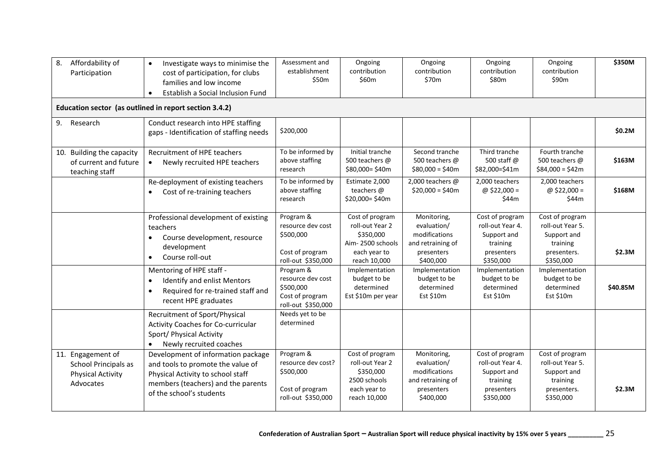| Affordability of<br>8.<br>Participation                                            | Investigate ways to minimise the<br>$\bullet$<br>cost of participation, for clubs<br>families and low income<br>Establish a Social Inclusion Fund<br>$\bullet$                 | Assessment and<br>establishment<br>\$50m                                              | Ongoing<br>contribution<br>\$60m                                                                    | Ongoing<br>contribution<br>\$70m                                                            | Ongoing<br>contribution<br>\$80m                                                          | Ongoing<br>contribution<br>\$90m                                                           | \$350M   |
|------------------------------------------------------------------------------------|--------------------------------------------------------------------------------------------------------------------------------------------------------------------------------|---------------------------------------------------------------------------------------|-----------------------------------------------------------------------------------------------------|---------------------------------------------------------------------------------------------|-------------------------------------------------------------------------------------------|--------------------------------------------------------------------------------------------|----------|
| Education sector (as outlined in report section 3.4.2)                             |                                                                                                                                                                                |                                                                                       |                                                                                                     |                                                                                             |                                                                                           |                                                                                            |          |
| 9. Research                                                                        | Conduct research into HPE staffing<br>gaps - Identification of staffing needs                                                                                                  | \$200,000                                                                             |                                                                                                     |                                                                                             |                                                                                           |                                                                                            | \$0.2M   |
| 10. Building the capacity<br>of current and future<br>teaching staff               | Recruitment of HPE teachers<br>Newly recruited HPE teachers<br>$\bullet$                                                                                                       | To be informed by<br>above staffing<br>research                                       | Initial tranche<br>500 teachers @<br>\$80,000=\$40m                                                 | Second tranche<br>500 teachers @<br>$$80,000 = $40m$                                        | Third tranche<br>500 staff @<br>\$82,000=\$41m                                            | Fourth tranche<br>500 teachers @<br>$$84,000 = $42m$                                       | \$163M   |
|                                                                                    | Re-deployment of existing teachers<br>Cost of re-training teachers<br>$\bullet$                                                                                                | To be informed by<br>above staffing<br>research                                       | Estimate 2,000<br>teachers @<br>\$20,000=\$40m                                                      | 2,000 teachers @<br>$$20,000 = $40m$                                                        | 2,000 teachers<br>@ \$22,000 =<br>\$44m                                                   | 2,000 teachers<br>@ \$22,000 =<br>\$44m                                                    | \$168M   |
|                                                                                    | Professional development of existing<br>teachers<br>Course development, resource<br>$\bullet$<br>development<br>$\bullet$<br>Course roll-out                                   | Program &<br>resource dev cost<br>\$500,000<br>Cost of program<br>roll-out \$350,000  | Cost of program<br>roll-out Year 2<br>\$350,000<br>Aim-2500 schools<br>each year to<br>reach 10,000 | Monitoring,<br>evaluation/<br>modifications<br>and retraining of<br>presenters<br>\$400,000 | Cost of program<br>roll-out Year 4.<br>Support and<br>training<br>presenters<br>\$350,000 | Cost of program<br>roll-out Year 5.<br>Support and<br>training<br>presenters.<br>\$350,000 | \$2.3M   |
|                                                                                    | Mentoring of HPE staff -<br>Identify and enlist Mentors<br>$\bullet$<br>Required for re-trained staff and<br>$\bullet$<br>recent HPE graduates                                 | Program &<br>resource dev cost<br>\$500,000<br>Cost of program<br>roll-out \$350,000  | Implementation<br>budget to be<br>determined<br>Est \$10m per year                                  | Implementation<br>budget to be<br>determined<br>Est \$10m                                   | Implementation<br>budget to be<br>determined<br>Est \$10m                                 | Implementation<br>budget to be<br>determined<br>Est \$10m                                  | \$40.85M |
|                                                                                    | Recruitment of Sport/Physical<br>Activity Coaches for Co-curricular<br>Sport/ Physical Activity<br>Newly recruited coaches                                                     | Needs yet to be<br>determined                                                         |                                                                                                     |                                                                                             |                                                                                           |                                                                                            |          |
| 11. Engagement of<br>School Principals as<br><b>Physical Activity</b><br>Advocates | Development of information package<br>and tools to promote the value of<br>Physical Activity to school staff<br>members (teachers) and the parents<br>of the school's students | Program &<br>resource dev cost?<br>\$500,000<br>Cost of program<br>roll-out \$350,000 | Cost of program<br>roll-out Year 2<br>\$350,000<br>2500 schools<br>each year to<br>reach 10,000     | Monitoring,<br>evaluation/<br>modifications<br>and retraining of<br>presenters<br>\$400,000 | Cost of program<br>roll-out Year 4.<br>Support and<br>training<br>presenters<br>\$350,000 | Cost of program<br>roll-out Year 5.<br>Support and<br>training<br>presenters.<br>\$350,000 | \$2.3M   |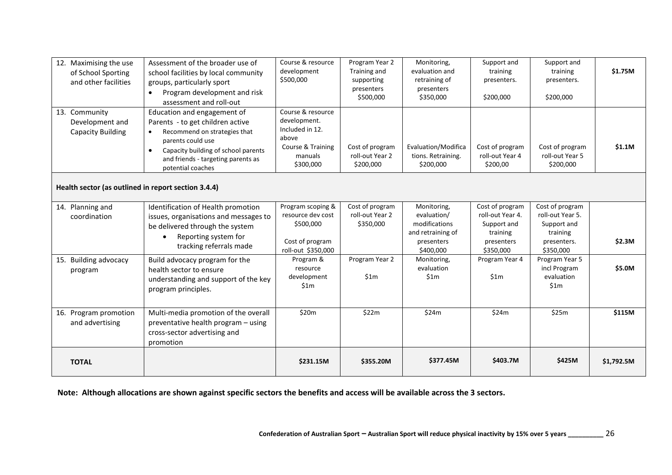| 12. Maximising the use<br>of School Sporting<br>and other facilities | Assessment of the broader use of<br>school facilities by local community<br>groups, particularly sport<br>Program development and risk<br>$\bullet$<br>assessment and roll-out                                                                   | Course & resource<br>development<br>\$500,000                                                              | Program Year 2<br>Training and<br>supporting<br>presenters<br>\$500,000 | Monitoring,<br>evaluation and<br>retraining of<br>presenters<br>\$350,000                   | Support and<br>training<br>presenters.<br>\$200,000                                       | Support and<br>training<br>presenters.<br>\$200,000                                        | \$1.75M    |
|----------------------------------------------------------------------|--------------------------------------------------------------------------------------------------------------------------------------------------------------------------------------------------------------------------------------------------|------------------------------------------------------------------------------------------------------------|-------------------------------------------------------------------------|---------------------------------------------------------------------------------------------|-------------------------------------------------------------------------------------------|--------------------------------------------------------------------------------------------|------------|
| 13. Community<br>Development and<br><b>Capacity Building</b>         | Education and engagement of<br>Parents - to get children active<br>Recommend on strategies that<br>$\bullet$<br>parents could use<br>Capacity building of school parents<br>$\bullet$<br>and friends - targeting parents as<br>potential coaches | Course & resource<br>development.<br>Included in 12.<br>above<br>Course & Training<br>manuals<br>\$300,000 | Cost of program<br>roll-out Year 2<br>\$200,000                         | Evaluation/Modifica<br>tions. Retraining.<br>\$200,000                                      | Cost of program<br>roll-out Year 4<br>\$200,00                                            | Cost of program<br>roll-out Year 5<br>\$200,000                                            | \$1.1M     |
| Health sector (as outlined in report section 3.4.4)                  |                                                                                                                                                                                                                                                  |                                                                                                            |                                                                         |                                                                                             |                                                                                           |                                                                                            |            |
| 14. Planning and<br>coordination                                     | Identification of Health promotion<br>issues, organisations and messages to<br>be delivered through the system<br>Reporting system for<br>$\bullet$<br>tracking referrals made                                                                   | Program scoping &<br>resource dev cost<br>\$500,000<br>Cost of program<br>roll-out \$350,000               | Cost of program<br>roll-out Year 2<br>\$350,000                         | Monitoring,<br>evaluation/<br>modifications<br>and retraining of<br>presenters<br>\$400,000 | Cost of program<br>roll-out Year 4.<br>Support and<br>training<br>presenters<br>\$350,000 | Cost of program<br>roll-out Year 5.<br>Support and<br>training<br>presenters.<br>\$350,000 | \$2.3M     |
| 15. Building advocacy<br>program                                     | Build advocacy program for the<br>health sector to ensure<br>understanding and support of the key<br>program principles.                                                                                                                         | Program &<br>resource<br>development<br>\$1m                                                               | Program Year 2<br>\$1m                                                  | Monitoring,<br>evaluation<br>\$1m                                                           | Program Year 4<br>\$1m                                                                    | Program Year 5<br>incl Program<br>evaluation<br>\$1m                                       | \$5.0M     |
| 16. Program promotion<br>and advertising                             | Multi-media promotion of the overall<br>preventative health program - using<br>cross-sector advertising and<br>promotion                                                                                                                         | \$20m                                                                                                      | \$22m                                                                   | \$24m                                                                                       | \$24m                                                                                     | \$25m                                                                                      | \$115M     |
| <b>TOTAL</b>                                                         |                                                                                                                                                                                                                                                  | \$231.15M                                                                                                  | \$355.20M                                                               | \$377.45M                                                                                   | \$403.7M                                                                                  | \$425M                                                                                     | \$1,792.5M |

**Note: Although allocations are shown against specific sectors the benefits and access will be available across the 3 sectors.**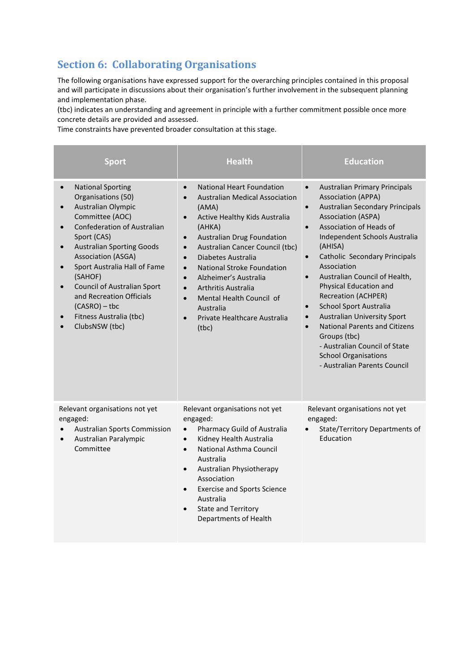# **Section 6: Collaborating Organisations**

The following organisations have expressed support for the overarching principles contained in this proposal and will participate in discussions about their organisation's further involvement in the subsequent planning and implementation phase.

(tbc) indicates an understanding and agreement in principle with a further commitment possible once more concrete details are provided and assessed.

Time constraints have prevented broader consultation at this stage.

| <b>Sport</b>                                                                                                                                                                                                                                                                                                                                                                                                                      | <b>Health</b>                                                                                                                                                                                                                                                                                                                                                                                                                                                                                                                              | <b>Education</b>                                                                                                                                                                                                                                                                                                                                                                                                                                                                                                                                                                                                                                                                         |
|-----------------------------------------------------------------------------------------------------------------------------------------------------------------------------------------------------------------------------------------------------------------------------------------------------------------------------------------------------------------------------------------------------------------------------------|--------------------------------------------------------------------------------------------------------------------------------------------------------------------------------------------------------------------------------------------------------------------------------------------------------------------------------------------------------------------------------------------------------------------------------------------------------------------------------------------------------------------------------------------|------------------------------------------------------------------------------------------------------------------------------------------------------------------------------------------------------------------------------------------------------------------------------------------------------------------------------------------------------------------------------------------------------------------------------------------------------------------------------------------------------------------------------------------------------------------------------------------------------------------------------------------------------------------------------------------|
| <b>National Sporting</b><br>$\bullet$<br>Organisations (50)<br>Australian Olympic<br>Committee (AOC)<br><b>Confederation of Australian</b><br>Sport (CAS)<br><b>Australian Sporting Goods</b><br>$\bullet$<br><b>Association (ASGA)</b><br>Sport Australia Hall of Fame<br>(SAHOF)<br><b>Council of Australian Sport</b><br>$\bullet$<br>and Recreation Officials<br>$(CASRO) - tbc$<br>Fitness Australia (tbc)<br>ClubsNSW (tbc) | <b>National Heart Foundation</b><br>$\bullet$<br><b>Australian Medical Association</b><br>$\bullet$<br>(AMA)<br>Active Healthy Kids Australia<br>$\bullet$<br>(AHKA)<br><b>Australian Drug Foundation</b><br>$\bullet$<br>Australian Cancer Council (tbc)<br>$\bullet$<br>Diabetes Australia<br>$\bullet$<br>National Stroke Foundation<br>$\bullet$<br>Alzheimer's Australia<br>$\bullet$<br>Arthritis Australia<br>$\bullet$<br>Mental Health Council of<br>$\bullet$<br>Australia<br>Private Healthcare Australia<br>$\bullet$<br>(tbc) | <b>Australian Primary Principals</b><br>$\bullet$<br><b>Association (APPA)</b><br><b>Australian Secondary Principals</b><br>$\bullet$<br><b>Association (ASPA)</b><br>Association of Heads of<br>$\bullet$<br>Independent Schools Australia<br>(AHISA)<br>Catholic Secondary Principals<br>$\bullet$<br>Association<br>Australian Council of Health,<br>$\bullet$<br>Physical Education and<br><b>Recreation (ACHPER)</b><br>School Sport Australia<br>$\bullet$<br><b>Australian University Sport</b><br>$\bullet$<br><b>National Parents and Citizens</b><br>$\bullet$<br>Groups (tbc)<br>- Australian Council of State<br><b>School Organisations</b><br>- Australian Parents Council |
| Relevant organisations not yet<br>engaged:<br><b>Australian Sports Commission</b><br>Australian Paralympic<br>$\bullet$<br>Committee                                                                                                                                                                                                                                                                                              | Relevant organisations not yet<br>engaged:<br>Pharmacy Guild of Australia<br>$\bullet$<br>Kidney Health Australia<br>$\bullet$<br>National Asthma Council<br>$\bullet$<br>Australia<br>Australian Physiotherapy<br>$\bullet$<br>Association<br><b>Exercise and Sports Science</b><br>$\bullet$<br>Australia<br><b>State and Territory</b><br>$\bullet$<br>Departments of Health                                                                                                                                                            | Relevant organisations not yet<br>engaged:<br>State/Territory Departments of<br>Education                                                                                                                                                                                                                                                                                                                                                                                                                                                                                                                                                                                                |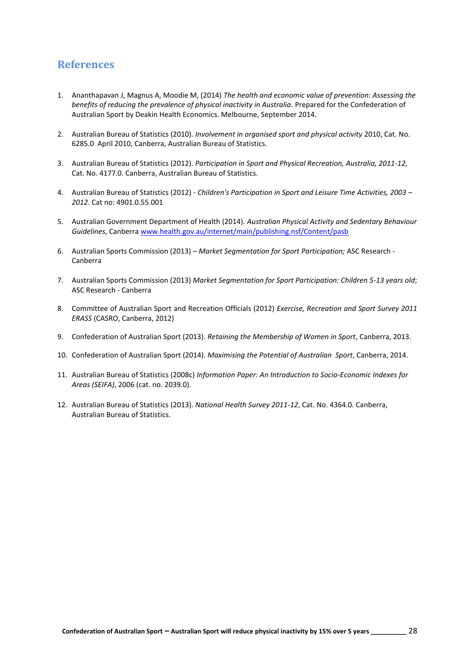## **References**

- 1. Ananthapavan J, Magnus A, Moodie M, (2014) *The health and economic value of prevention: Assessing the benefits of reducing the prevalence of physical inactivity in Australia*. Prepared for the Confederation of Australian Sport by Deakin Health Economics. Melbourne, September 2014.
- 2. Australian Bureau of Statistics (2010). *Involvement in organised sport and physical activity* 2010, Cat. No. 6285.0 April 2010, Canberra, Australian Bureau of Statistics.
- 3. Australian Bureau of Statistics (2012). *Participation in Sport and Physical Recreation, Australia, 2011-12,* Cat. No. 4177.0. Canberra, Australian Bureau of Statistics.
- 4. Australian Bureau of Statistics (2012) *Children's Participation in Sport and Leisure Time Activities, 2003 – 2012.* Cat no: 4901.0.55.001
- 5. Australian Government Department of Health (2014). *Australian Physical Activity and Sedentary Behaviour Guidelines*, Canberr[a www.health.gov.au/internet/main/publishing.nsf/Content/pasb](http://www.health.gov.au/internet/main/publishing.nsf/Content/pasb)
- 6. Australian Sports Commission (2013) *Market Segmentation for Sport Participation;* ASC Research Canberra
- 7. Australian Sports Commission (2013) *Market Segmentation for Sport Participation: Children 5-13 years old*; ASC Research - Canberra
- 8. Committee of Australian Sport and Recreation Officials (2012) *Exercise, Recreation and Sport Survey 2011 ERASS* (CASRO, Canberra, 2012)
- 9. Confederation of Australian Sport (2013). *Retaining the Membership of Women in Sport*, Canberra, 2013.
- 10. Confederation of Australian Sport (2014). *Maximising the Potential of Australian Sport*, Canberra, 2014.
- 11. Australian Bureau of Statistics (2008c) *Information Paper: An Introduction to Socio-Economic Indexes for Areas (SEIFA)*, 2006 (cat. no. 2039.0).
- 12. Australian Bureau of Statistics (2013). *National Health Survey 2011-12*, Cat. No. 4364.0. Canberra, Australian Bureau of Statistics.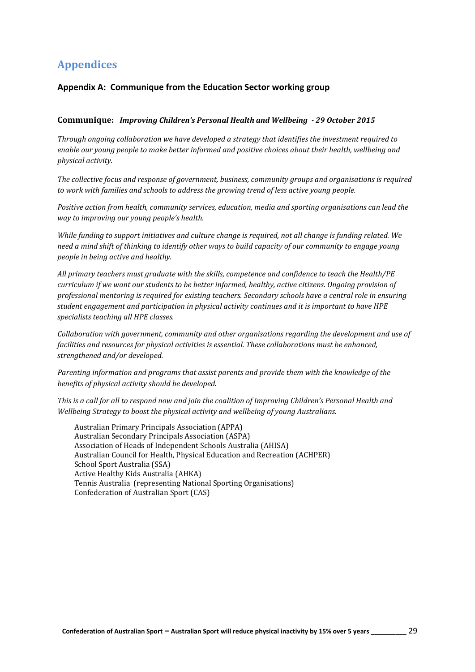## **Appendices**

## **Appendix A: Communique from the Education Sector working group**

### **Communique:** *Improving Children's Personal Health and Wellbeing - 29 October 2015*

*Through ongoing collaboration we have developed a strategy that identifies the investment required to enable our young people to make better informed and positive choices about their health, wellbeing and physical activity.*

*The collective focus and response of government, business, community groups and organisations is required to work with families and schools to address the growing trend of less active young people.*

*Positive action from health, community services, education, media and sporting organisations can lead the way to improving our young people's health.*

*While funding to support initiatives and culture change is required, not all change is funding related. We need a mind shift of thinking to identify other ways to build capacity of our community to engage young people in being active and healthy.*

*All primary teachers must graduate with the skills, competence and confidence to teach the Health/PE curriculum if we want our students to be better informed, healthy, active citizens. Ongoing provision of professional mentoring is required for existing teachers. Secondary schools have a central role in ensuring student engagement and participation in physical activity continues and it is important to have HPE specialists teaching all HPE classes.*

*Collaboration with government, community and other organisations regarding the development and use of facilities and resources for physical activities is essential. These collaborations must be enhanced, strengthened and/or developed.*

*Parenting information and programs that assist parents and provide them with the knowledge of the benefits of physical activity should be developed.*

*This is a call for all to respond now and join the coalition of Improving Children's Personal Health and Wellbeing Strategy to boost the physical activity and wellbeing of young Australians.*

Australian Primary Principals Association (APPA) Australian Secondary Principals Association (ASPA) Association of Heads of Independent Schools Australia (AHISA) Australian Council for Health, Physical Education and Recreation (ACHPER) School Sport Australia (SSA) Active Healthy Kids Australia (AHKA) Tennis Australia (representing National Sporting Organisations) Confederation of Australian Sport (CAS)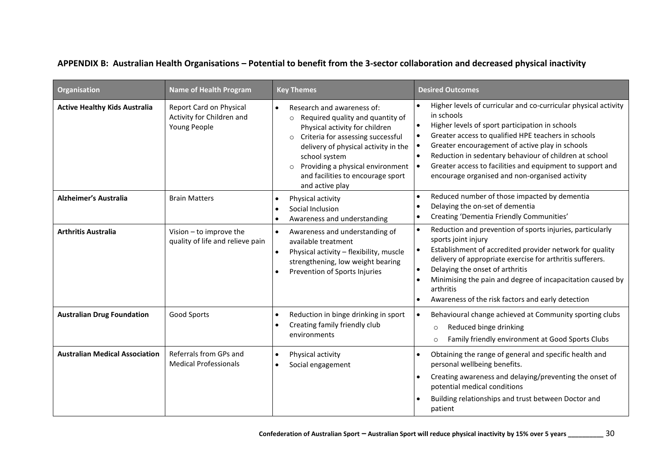## **APPENDIX B: Australian Health Organisations – Potential to benefit from the 3-sector collaboration and decreased physical inactivity**

| <b>Organisation</b>                   | <b>Name of Health Program</b>                                        | <b>Key Themes</b>                                                                                                                                                                                                                                                                                                            | <b>Desired Outcomes</b>                                                                                                                                                                                                                                                                                                                                                                                             |
|---------------------------------------|----------------------------------------------------------------------|------------------------------------------------------------------------------------------------------------------------------------------------------------------------------------------------------------------------------------------------------------------------------------------------------------------------------|---------------------------------------------------------------------------------------------------------------------------------------------------------------------------------------------------------------------------------------------------------------------------------------------------------------------------------------------------------------------------------------------------------------------|
| <b>Active Healthy Kids Australia</b>  | Report Card on Physical<br>Activity for Children and<br>Young People | Research and awareness of:<br>$\bullet$<br>$\circ$ Required quality and quantity of<br>Physical activity for children<br>o Criteria for assessing successful<br>delivery of physical activity in the<br>school system<br>Providing a physical environment<br>$\circ$<br>and facilities to encourage sport<br>and active play | Higher levels of curricular and co-curricular physical activity<br>in schools<br>Higher levels of sport participation in schools<br>Greater access to qualified HPE teachers in schools<br>Greater encouragement of active play in schools<br>Reduction in sedentary behaviour of children at school<br>Greater access to facilities and equipment to support and<br>encourage organised and non-organised activity |
| <b>Alzheimer's Australia</b>          | <b>Brain Matters</b>                                                 | Physical activity<br>$\bullet$<br>Social Inclusion<br>Awareness and understanding                                                                                                                                                                                                                                            | Reduced number of those impacted by dementia<br>$\bullet$<br>Delaying the on-set of dementia<br>$\bullet$<br>Creating 'Dementia Friendly Communities'<br>$\bullet$                                                                                                                                                                                                                                                  |
| <b>Arthritis Australia</b>            | Vision - to improve the<br>quality of life and relieve pain          | Awareness and understanding of<br>available treatment<br>Physical activity - flexibility, muscle<br>$\bullet$<br>strengthening, low weight bearing<br>Prevention of Sports Injuries                                                                                                                                          | Reduction and prevention of sports injuries, particularly<br>$\bullet$<br>sports joint injury<br>Establishment of accredited provider network for quality<br>$\bullet$<br>delivery of appropriate exercise for arthritis sufferers.<br>Delaying the onset of arthritis<br>$\bullet$<br>Minimising the pain and degree of incapacitation caused by<br>arthritis<br>Awareness of the risk factors and early detection |
| <b>Australian Drug Foundation</b>     | Good Sports                                                          | Reduction in binge drinking in sport<br>$\bullet$<br>Creating family friendly club<br>$\bullet$<br>environments                                                                                                                                                                                                              | Behavioural change achieved at Community sporting clubs<br>$\bullet$<br>Reduced binge drinking<br>$\circ$<br>Family friendly environment at Good Sports Clubs<br>$\circ$                                                                                                                                                                                                                                            |
| <b>Australian Medical Association</b> | Referrals from GPs and<br><b>Medical Professionals</b>               | Physical activity<br>$\bullet$<br>Social engagement                                                                                                                                                                                                                                                                          | Obtaining the range of general and specific health and<br>personal wellbeing benefits.<br>Creating awareness and delaying/preventing the onset of<br>potential medical conditions<br>Building relationships and trust between Doctor and<br>patient                                                                                                                                                                 |